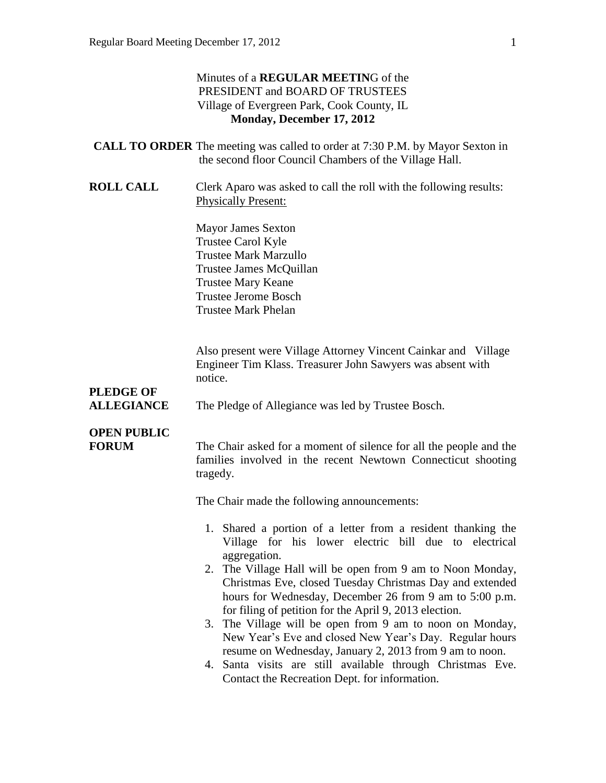#### Minutes of a **REGULAR MEETIN**G of the PRESIDENT and BOARD OF TRUSTEES Village of Evergreen Park, Cook County, IL **Monday, December 17, 2012**

| <b>CALL TO ORDER</b> The meeting was called to order at 7:30 P.M. by Mayor Sexton in |
|--------------------------------------------------------------------------------------|
| the second floor Council Chambers of the Village Hall.                               |

**ROLL CALL** Clerk Aparo was asked to call the roll with the following results: Physically Present:

> Mayor James Sexton Trustee Carol Kyle Trustee Mark Marzullo Trustee James McQuillan Trustee Mary Keane Trustee Jerome Bosch Trustee Mark Phelan

Also present were Village Attorney Vincent Cainkar and Village Engineer Tim Klass. Treasurer John Sawyers was absent with notice.

# **PLEDGE OF**

**ALLEGIANCE** The Pledge of Allegiance was led by Trustee Bosch.

### **OPEN PUBLIC**

**FORUM** The Chair asked for a moment of silence for all the people and the families involved in the recent Newtown Connecticut shooting tragedy.

The Chair made the following announcements:

- 1. Shared a portion of a letter from a resident thanking the Village for his lower electric bill due to electrical aggregation.
- 2. The Village Hall will be open from 9 am to Noon Monday, Christmas Eve, closed Tuesday Christmas Day and extended hours for Wednesday, December 26 from 9 am to 5:00 p.m. for filing of petition for the April 9, 2013 election.
- 3. The Village will be open from 9 am to noon on Monday, New Year's Eve and closed New Year's Day. Regular hours resume on Wednesday, January 2, 2013 from 9 am to noon.
- 4. Santa visits are still available through Christmas Eve. Contact the Recreation Dept. for information.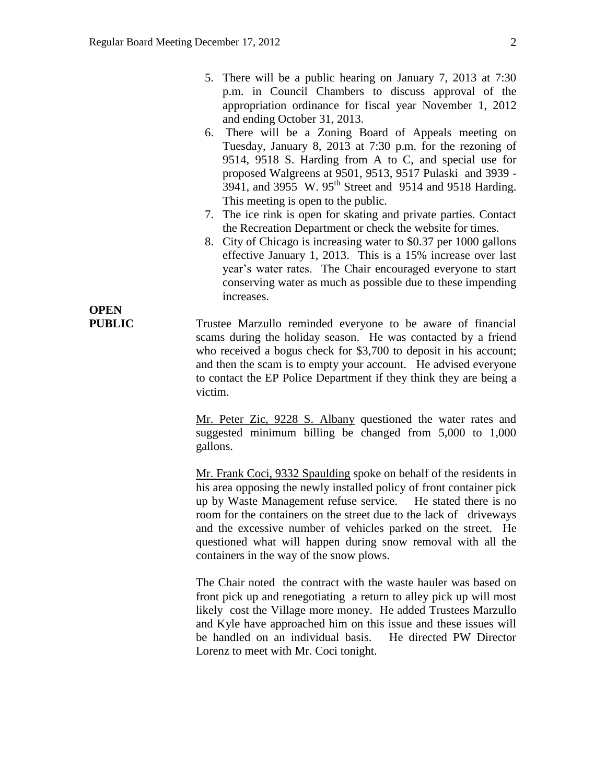- 5. There will be a public hearing on January 7, 2013 at 7:30 p.m. in Council Chambers to discuss approval of the appropriation ordinance for fiscal year November 1, 2012 and ending October 31, 2013.
- 6. There will be a Zoning Board of Appeals meeting on Tuesday, January 8, 2013 at 7:30 p.m. for the rezoning of 9514, 9518 S. Harding from A to C, and special use for proposed Walgreens at 9501, 9513, 9517 Pulaski and 3939 - 3941, and 3955 W. 95<sup>th</sup> Street and 9514 and 9518 Harding. This meeting is open to the public.
- 7. The ice rink is open for skating and private parties. Contact the Recreation Department or check the website for times.
- 8. City of Chicago is increasing water to \$0.37 per 1000 gallons effective January 1, 2013. This is a 15% increase over last year's water rates. The Chair encouraged everyone to start conserving water as much as possible due to these impending increases.

**PUBLIC** Trustee Marzullo reminded everyone to be aware of financial scams during the holiday season. He was contacted by a friend who received a bogus check for \$3,700 to deposit in his account; and then the scam is to empty your account. He advised everyone to contact the EP Police Department if they think they are being a victim.

> Mr. Peter Zic, 9228 S. Albany questioned the water rates and suggested minimum billing be changed from 5,000 to 1,000 gallons.

> Mr. Frank Coci, 9332 Spaulding spoke on behalf of the residents in his area opposing the newly installed policy of front container pick up by Waste Management refuse service. He stated there is no room for the containers on the street due to the lack of driveways and the excessive number of vehicles parked on the street. He questioned what will happen during snow removal with all the containers in the way of the snow plows.

> The Chair noted the contract with the waste hauler was based on front pick up and renegotiating a return to alley pick up will most likely cost the Village more money. He added Trustees Marzullo and Kyle have approached him on this issue and these issues will be handled on an individual basis. He directed PW Director Lorenz to meet with Mr. Coci tonight.

# **OPEN**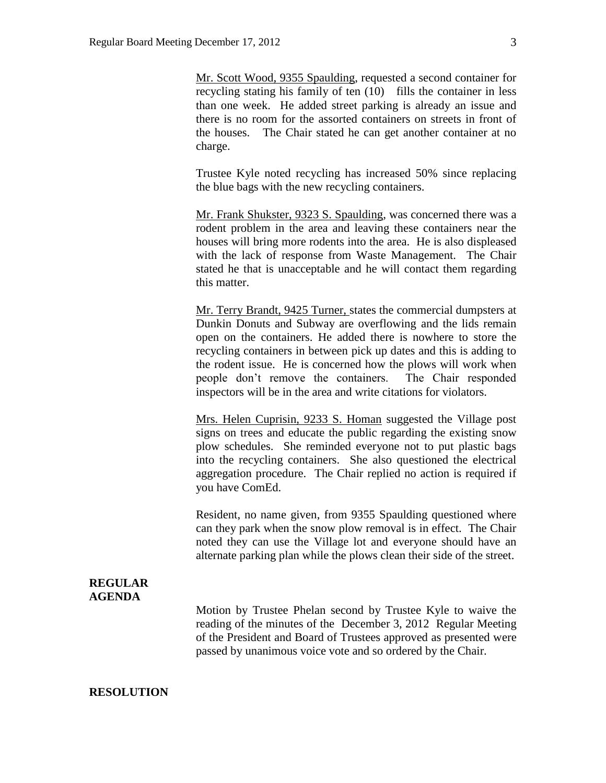Mr. Scott Wood, 9355 Spaulding, requested a second container for recycling stating his family of ten (10) fills the container in less than one week. He added street parking is already an issue and there is no room for the assorted containers on streets in front of the houses. The Chair stated he can get another container at no charge.

Trustee Kyle noted recycling has increased 50% since replacing the blue bags with the new recycling containers.

Mr. Frank Shukster, 9323 S. Spaulding, was concerned there was a rodent problem in the area and leaving these containers near the houses will bring more rodents into the area. He is also displeased with the lack of response from Waste Management. The Chair stated he that is unacceptable and he will contact them regarding this matter.

Mr. Terry Brandt, 9425 Turner, states the commercial dumpsters at Dunkin Donuts and Subway are overflowing and the lids remain open on the containers. He added there is nowhere to store the recycling containers in between pick up dates and this is adding to the rodent issue. He is concerned how the plows will work when people don't remove the containers. The Chair responded inspectors will be in the area and write citations for violators.

Mrs. Helen Cuprisin, 9233 S. Homan suggested the Village post signs on trees and educate the public regarding the existing snow plow schedules. She reminded everyone not to put plastic bags into the recycling containers. She also questioned the electrical aggregation procedure. The Chair replied no action is required if you have ComEd.

Resident, no name given, from 9355 Spaulding questioned where can they park when the snow plow removal is in effect. The Chair noted they can use the Village lot and everyone should have an alternate parking plan while the plows clean their side of the street.

#### **REGULAR AGENDA**

Motion by Trustee Phelan second by Trustee Kyle to waive the reading of the minutes of the December 3, 2012 Regular Meeting of the President and Board of Trustees approved as presented were passed by unanimous voice vote and so ordered by the Chair.

**RESOLUTION**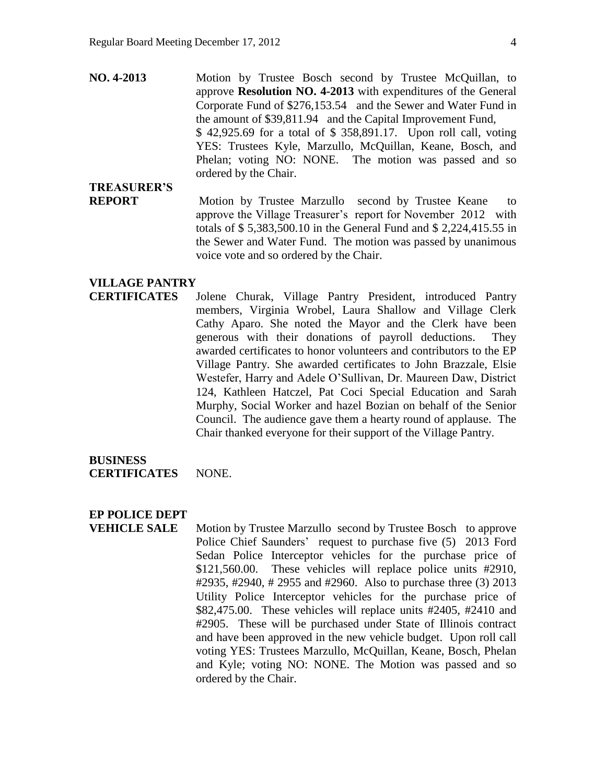**NO. 4-2013** Motion by Trustee Bosch second by Trustee McQuillan, to approve **Resolution NO. 4-2013** with expenditures of the General Corporate Fund of \$276,153.54 and the Sewer and Water Fund in the amount of \$39,811.94 and the Capital Improvement Fund, \$ 42,925.69 for a total of \$ 358,891.17. Upon roll call, voting YES: Trustees Kyle, Marzullo, McQuillan, Keane, Bosch, and Phelan; voting NO: NONE. The motion was passed and so ordered by the Chair.

## **TREASURER'S**

**REPORT** Motion by Trustee Marzullo second by Trustee Keane to approve the Village Treasurer's report for November 2012 with totals of \$ 5,383,500.10 in the General Fund and \$ 2,224,415.55 in the Sewer and Water Fund. The motion was passed by unanimous voice vote and so ordered by the Chair.

#### **VILLAGE PANTRY**

**CERTIFICATES** Jolene Churak, Village Pantry President, introduced Pantry members, Virginia Wrobel, Laura Shallow and Village Clerk Cathy Aparo. She noted the Mayor and the Clerk have been generous with their donations of payroll deductions. They awarded certificates to honor volunteers and contributors to the EP Village Pantry. She awarded certificates to John Brazzale, Elsie Westefer, Harry and Adele O'Sullivan, Dr. Maureen Daw, District 124, Kathleen Hatczel, Pat Coci Special Education and Sarah Murphy, Social Worker and hazel Bozian on behalf of the Senior Council. The audience gave them a hearty round of applause. The Chair thanked everyone for their support of the Village Pantry.

#### **BUSINESS CERTIFICATES** NONE.

#### **EP POLICE DEPT**

**VEHICLE SALE** Motion by Trustee Marzullo second by Trustee Bosch to approve Police Chief Saunders' request to purchase five (5) 2013 Ford Sedan Police Interceptor vehicles for the purchase price of \$121,560.00. These vehicles will replace police units #2910, #2935, #2940, # 2955 and #2960. Also to purchase three (3) 2013 Utility Police Interceptor vehicles for the purchase price of \$82,475.00. These vehicles will replace units #2405, #2410 and #2905. These will be purchased under State of Illinois contract and have been approved in the new vehicle budget. Upon roll call voting YES: Trustees Marzullo, McQuillan, Keane, Bosch, Phelan and Kyle; voting NO: NONE. The Motion was passed and so ordered by the Chair.